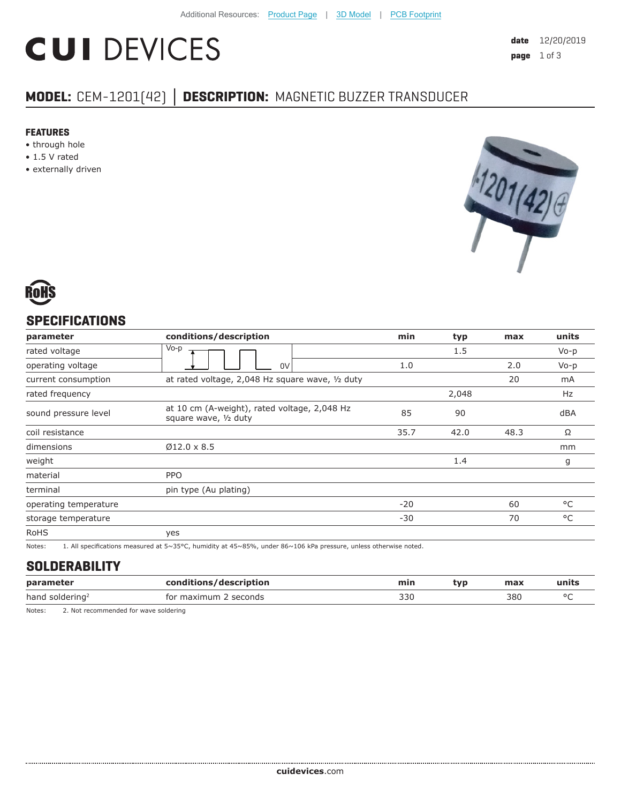# **CUI DEVICES**

## **MODEL:** CEM-1201(42) **│ DESCRIPTION:** MAGNETIC BUZZER TRANSDUCER

#### **FEATURES**

- through hole
- 1.5 V rated
- externally driven





## **SPECIFICATIONS**

| parameter             | conditions/description                                                | min   | typ   | max  | units        |
|-----------------------|-----------------------------------------------------------------------|-------|-------|------|--------------|
| rated voltage         | Vo-p                                                                  |       | 1.5   |      | $V_0-p$      |
| operating voltage     | 0V                                                                    | 1.0   |       | 2.0  | $Vo-p$       |
| current consumption   | at rated voltage, 2,048 Hz square wave, 1/2 duty                      |       |       | 20   | mA           |
| rated frequency       |                                                                       |       | 2,048 |      | Hz           |
| sound pressure level  | at 10 cm (A-weight), rated voltage, 2,048 Hz<br>square wave, 1/2 duty | 85    | 90    |      | dBA          |
| coil resistance       |                                                                       | 35.7  | 42.0  | 48.3 | Ω            |
| dimensions            | $Ø12.0 \times 8.5$                                                    |       |       |      | mm           |
| weight                |                                                                       |       | 1.4   |      | g            |
| material              | <b>PPO</b>                                                            |       |       |      |              |
| terminal              | pin type (Au plating)                                                 |       |       |      |              |
| operating temperature |                                                                       | $-20$ |       | 60   | °C           |
| storage temperature   |                                                                       | $-30$ |       | 70   | $^{\circ}$ C |
| <b>RoHS</b>           | yes                                                                   |       |       |      |              |

Notes: 1. All specifications measured at 5~35°C, humidity at 45~85%, under 86~106 kPa pressure, unless otherwise noted.

#### **SOLDERABILITY**

| parameter                   | conditions/description      | min | tvp | max | units |
|-----------------------------|-----------------------------|-----|-----|-----|-------|
| hand soldering <sup>2</sup> | . seconds<br>maximum<br>tor | 330 |     | 380 | n r   |

Notes: 2. Not recommended for wave soldering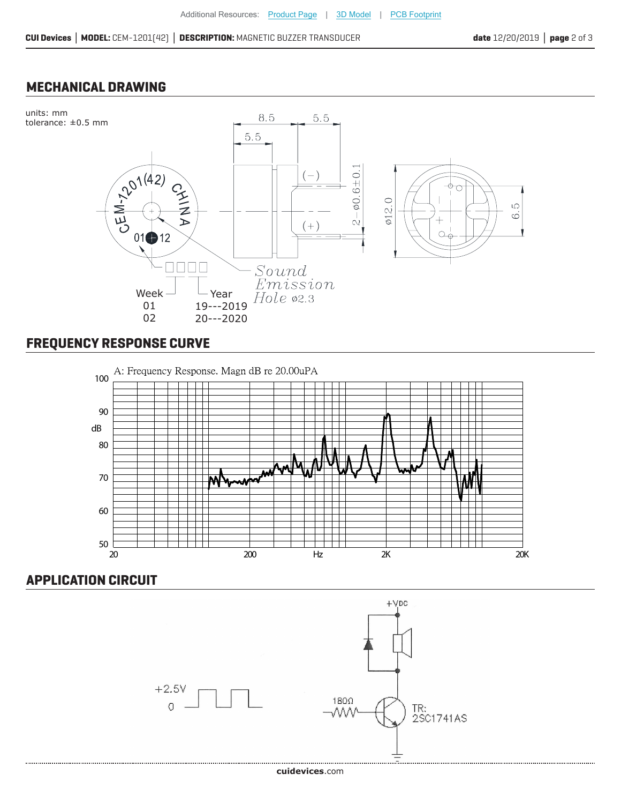#### **MECHANICAL DRAWING**



# **FREQUENCY RESPONSE CURVE**



## **APPLICATION CIRCUIT**

......................



#### **cui[devices](https://www.cuidevices.com/track?actionLabel=Datasheet-ClickThrough-HomePage&label=CEM-1201-42-.pdf&path=/)**.com